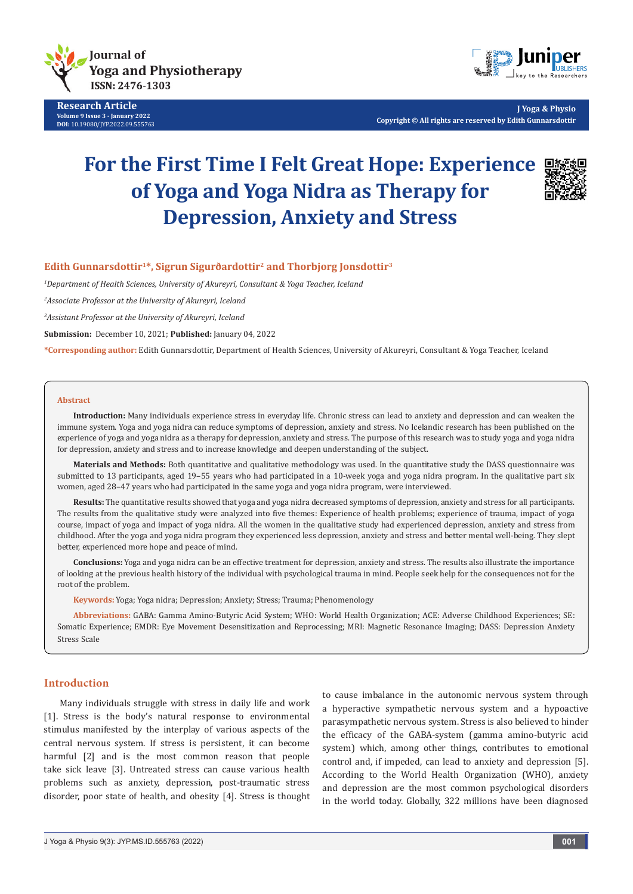

**Research Article Volume 9 Issue 3 - January 2022 DOI:** [10.19080/JYP.2022.09.5557](http://dx.doi.org/10.19080/JYP.2022.09.555763)63



**J Yoga & Physio Copyright © All rights are reserved by Edith Gunnarsdottir**

# **For the First Time I Felt Great Hope: Experience of Yoga and Yoga Nidra as Therapy for Depression, Anxiety and Stress**



# **Edith Gunnarsdottir1\*, Sigrun Sigurðardottir2 and Thorbjorg Jonsdottir3**

*1 Department of Health Sciences, University of Akureyri, Consultant & Yoga Teacher, Iceland*

*2 Associate Professor at the University of Akureyri, Iceland* 

*3 Assistant Professor at the University of Akureyri, Iceland*

**Submission:** December 10, 2021; **Published:** January 04, 2022

**\*Corresponding author:** Edith Gunnarsdottir, Department of Health Sciences, University of Akureyri, Consultant & Yoga Teacher, Iceland

#### **Abstract**

**Introduction:** Many individuals experience stress in everyday life. Chronic stress can lead to anxiety and depression and can weaken the immune system. Yoga and yoga nidra can reduce symptoms of depression, anxiety and stress. No Icelandic research has been published on the experience of yoga and yoga nidra as a therapy for depression, anxiety and stress. The purpose of this research was to study yoga and yoga nidra for depression, anxiety and stress and to increase knowledge and deepen understanding of the subject.

Materials and Methods: Both quantitative and qualitative methodology was used. In the quantitative study the DASS questionnaire was submitted to 13 participants, aged 19–55 years who had participated in a 10-week yoga and yoga nidra program. In the qualitative part six women, aged 28–47 years who had participated in the same yoga and yoga nidra program, were interviewed.

**Results:** The quantitative results showed that yoga and yoga nidra decreased symptoms of depression, anxiety and stress for all participants. The results from the qualitative study were analyzed into five themes: Experience of health problems; experience of trauma, impact of yoga course, impact of yoga and impact of yoga nidra. All the women in the qualitative study had experienced depression, anxiety and stress from childhood. After the yoga and yoga nidra program they experienced less depression, anxiety and stress and better mental well-being. They slept better, experienced more hope and peace of mind.

**Conclusions:** Yoga and yoga nidra can be an effective treatment for depression, anxiety and stress. The results also illustrate the importance of looking at the previous health history of the individual with psychological trauma in mind. People seek help for the consequences not for the root of the problem.

**Keywords:** Yoga; Yoga nidra; Depression; Anxiety; Stress; Trauma; Phenomenology

**Abbreviations:** GABA: Gamma Amino-Butyric Acid System; WHO: World Health Organization; ACE: Adverse Childhood Experiences; SE: Somatic Experience; EMDR: Eye Movement Desensitization and Reprocessing; MRI: Magnetic Resonance Imaging; DASS: Depression Anxiety Stress Scale

# **Introduction**

Many individuals struggle with stress in daily life and work [1]. Stress is the body's natural response to environmental stimulus manifested by the interplay of various aspects of the central nervous system. If stress is persistent, it can become harmful [2] and is the most common reason that people take sick leave [3]. Untreated stress can cause various health problems such as anxiety, depression, post-traumatic stress disorder, poor state of health, and obesity [4]. Stress is thought to cause imbalance in the autonomic nervous system through a hyperactive sympathetic nervous system and a hypoactive parasympathetic nervous system. Stress is also believed to hinder the efficacy of the GABA-system (gamma amino-butyric acid system) which, among other things, contributes to emotional control and, if impeded, can lead to anxiety and depression [5]. According to the World Health Organization (WHO), anxiety and depression are the most common psychological disorders in the world today. Globally, 322 millions have been diagnosed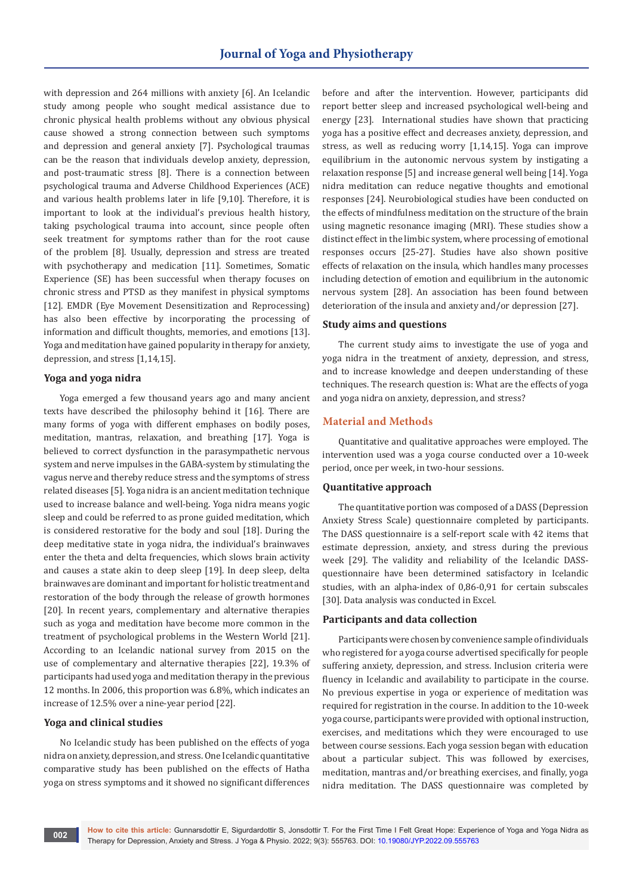with depression and 264 millions with anxiety [6]. An Icelandic study among people who sought medical assistance due to chronic physical health problems without any obvious physical cause showed a strong connection between such symptoms and depression and general anxiety [7]. Psychological traumas can be the reason that individuals develop anxiety, depression, and post-traumatic stress [8]. There is a connection between psychological trauma and Adverse Childhood Experiences (ACE) and various health problems later in life [9,10]. Therefore, it is important to look at the individual's previous health history, taking psychological trauma into account, since people often seek treatment for symptoms rather than for the root cause of the problem [8]. Usually, depression and stress are treated with psychotherapy and medication [11]. Sometimes, Somatic Experience (SE) has been successful when therapy focuses on chronic stress and PTSD as they manifest in physical symptoms [12]. EMDR (Eye Movement Desensitization and Reprocessing) has also been effective by incorporating the processing of information and difficult thoughts, memories, and emotions [13]. Yoga and meditation have gained popularity in therapy for anxiety, depression, and stress [1,14,15].

# **Yoga and yoga nidra**

Yoga emerged a few thousand years ago and many ancient texts have described the philosophy behind it [16]. There are many forms of yoga with different emphases on bodily poses, meditation, mantras, relaxation, and breathing [17]. Yoga is believed to correct dysfunction in the parasympathetic nervous system and nerve impulses in the GABA-system by stimulating the vagus nerve and thereby reduce stress and the symptoms of stress related diseases [5]. Yoga nidra is an ancient meditation technique used to increase balance and well-being. Yoga nidra means yogic sleep and could be referred to as prone guided meditation, which is considered restorative for the body and soul [18]. During the deep meditative state in yoga nidra, the individual's brainwaves enter the theta and delta frequencies, which slows brain activity and causes a state akin to deep sleep [19]. In deep sleep, delta brainwaves are dominant and important for holistic treatment and restoration of the body through the release of growth hormones [20]. In recent years, complementary and alternative therapies such as yoga and meditation have become more common in the treatment of psychological problems in the Western World [21]. According to an Icelandic national survey from 2015 on the use of complementary and alternative therapies [22], 19.3% of participants had used yoga and meditation therapy in the previous 12 months. In 2006, this proportion was 6.8%, which indicates an increase of 12.5% over a nine-year period [22].

# **Yoga and clinical studies**

No Icelandic study has been published on the effects of yoga nidra on anxiety, depression, and stress. One Icelandic quantitative comparative study has been published on the effects of Hatha yoga on stress symptoms and it showed no significant differences

before and after the intervention. However, participants did report better sleep and increased psychological well-being and energy [23]. International studies have shown that practicing yoga has a positive effect and decreases anxiety, depression, and stress, as well as reducing worry [1,14,15]. Yoga can improve equilibrium in the autonomic nervous system by instigating a relaxation response [5] and increase general well being [14]. Yoga nidra meditation can reduce negative thoughts and emotional responses [24]. Neurobiological studies have been conducted on the effects of mindfulness meditation on the structure of the brain using magnetic resonance imaging (MRI). These studies show a distinct effect in the limbic system, where processing of emotional responses occurs [25-27]. Studies have also shown positive effects of relaxation on the insula, which handles many processes including detection of emotion and equilibrium in the autonomic nervous system [28]. An association has been found between deterioration of the insula and anxiety and/or depression [27].

# **Study aims and questions**

The current study aims to investigate the use of yoga and yoga nidra in the treatment of anxiety, depression, and stress, and to increase knowledge and deepen understanding of these techniques. The research question is: What are the effects of yoga and yoga nidra on anxiety, depression, and stress?

# **Material and Methods**

Quantitative and qualitative approaches were employed. The intervention used was a yoga course conducted over a 10-week period, once per week, in two-hour sessions.

# **Quantitative approach**

The quantitative portion was composed of a DASS (Depression Anxiety Stress Scale) questionnaire completed by participants. The DASS questionnaire is a self-report scale with 42 items that estimate depression, anxiety, and stress during the previous week [29]. The validity and reliability of the Icelandic DASSquestionnaire have been determined satisfactory in Icelandic studies, with an alpha-index of 0,86-0,91 for certain subscales [30]. Data analysis was conducted in Excel.

#### **Participants and data collection**

Participants were chosen by convenience sample of individuals who registered for a yoga course advertised specifically for people suffering anxiety, depression, and stress. Inclusion criteria were fluency in Icelandic and availability to participate in the course. No previous expertise in yoga or experience of meditation was required for registration in the course. In addition to the 10-week yoga course, participants were provided with optional instruction, exercises, and meditations which they were encouraged to use between course sessions. Each yoga session began with education about a particular subject. This was followed by exercises, meditation, mantras and/or breathing exercises, and finally, yoga nidra meditation. The DASS questionnaire was completed by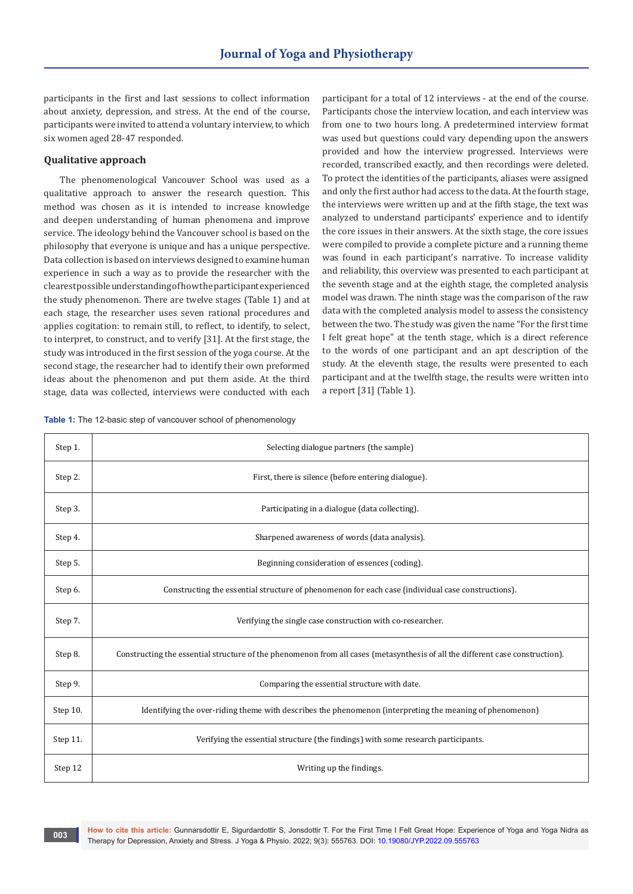participants in the first and last sessions to collect information about anxiety, depression, and stress. At the end of the course, participants were invited to attend a voluntary interview, to which six women aged 28-47 responded.

## **Qualitative approach**

The phenomenological Vancouver School was used as a qualitative approach to answer the research question. This method was chosen as it is intended to increase knowledge and deepen understanding of human phenomena and improve service. The ideology behind the Vancouver school is based on the philosophy that everyone is unique and has a unique perspective. Data collection is based on interviews designed to examine human experience in such a way as to provide the researcher with the clearest possible understanding of how the participant experienced the study phenomenon. There are twelve stages (Table 1) and at each stage, the researcher uses seven rational procedures and applies cogitation: to remain still, to reflect, to identify, to select, to interpret, to construct, and to verify [31]. At the first stage, the study was introduced in the first session of the yoga course. At the second stage, the researcher had to identify their own preformed ideas about the phenomenon and put them aside. At the third stage, data was collected, interviews were conducted with each

**Table 1:** The 12-basic step of vancouver school of phenomenology

participant for a total of 12 interviews - at the end of the course. Participants chose the interview location, and each interview was from one to two hours long. A predetermined interview format was used but questions could vary depending upon the answers provided and how the interview progressed. Interviews were recorded, transcribed exactly, and then recordings were deleted. To protect the identities of the participants, aliases were assigned and only the first author had access to the data. At the fourth stage, the interviews were written up and at the fifth stage, the text was analyzed to understand participants' experience and to identify the core issues in their answers. At the sixth stage, the core issues were compiled to provide a complete picture and a running theme was found in each participant's narrative. To increase validity and reliability, this overview was presented to each participant at the seventh stage and at the eighth stage, the completed analysis model was drawn. The ninth stage was the comparison of the raw data with the completed analysis model to assess the consistency between the two. The study was given the name "For the first time I felt great hope" at the tenth stage, which is a direct reference to the words of one participant and an apt description of the study. At the eleventh stage, the results were presented to each participant and at the twelfth stage, the results were written into a report [31] (Table 1).

| Step 1.  | Selecting dialogue partners (the sample)                                                                                      |  |  |
|----------|-------------------------------------------------------------------------------------------------------------------------------|--|--|
| Step 2.  | First, there is silence (before entering dialogue).                                                                           |  |  |
| Step 3.  | Participating in a dialogue (data collecting).                                                                                |  |  |
| Step 4.  | Sharpened awareness of words (data analysis).                                                                                 |  |  |
| Step 5.  | Beginning consideration of essences (coding).                                                                                 |  |  |
| Step 6.  | Constructing the essential structure of phenomenon for each case (individual case constructions).                             |  |  |
| Step 7.  | Verifying the single case construction with co-researcher.                                                                    |  |  |
| Step 8.  | Constructing the essential structure of the phenomenon from all cases (metasynthesis of all the different case construction). |  |  |
| Step 9.  | Comparing the essential structure with date.                                                                                  |  |  |
| Step 10. | Identifying the over-riding theme with describes the phenomenon (interpreting the meaning of phenomenon)                      |  |  |
| Step 11. | Verifying the essential structure (the findings) with some research participants.                                             |  |  |
| Step 12  | Writing up the findings.                                                                                                      |  |  |

**How to cite this article:** Gunnarsdottir E, Sigurdardottir S, Jonsdottir T. For the First Time I Felt Great Hope: Experience of Yoga and Yoga Nidra as Therapy for Depression, Anxiety and Stress. J Yoga & Physio. 2022; 9(3): 555763. DOI: [10.19080/JYP.2022.09.5557](http://dx.doi.org/10.19080/JYP.2022.09.555763)63 **DOI:** 10.19080/JYP.2022.09.555763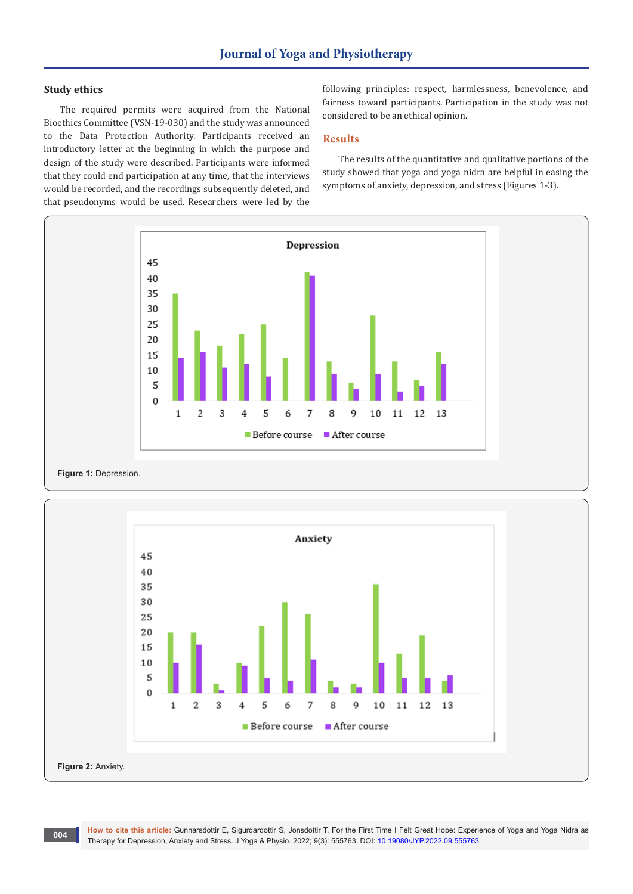# **Study ethics**

The required permits were acquired from the National Bioethics Committee (VSN-19-030) and the study was announced to the Data Protection Authority. Participants received an introductory letter at the beginning in which the purpose and design of the study were described. Participants were informed that they could end participation at any time, that the interviews would be recorded, and the recordings subsequently deleted, and that pseudonyms would be used. Researchers were led by the

following principles: respect, harmlessness, benevolence, and fairness toward participants. Participation in the study was not considered to be an ethical opinion.

# **Results**

The results of the quantitative and qualitative portions of the study showed that yoga and yoga nidra are helpful in easing the symptoms of anxiety, depression, and stress (Figures 1-3).





**How to cite this article:** Gunnarsdottir E, Sigurdardottir S, Jonsdottir T. For the First Time I Felt Great Hope: Experience of Yoga and Yoga Nidra as Therapy for Depression, Anxiety and Stress. J Yoga & Physio. 2022; 9(3): 555763. DOI: [10.19080/JYP.2022.09.5557](http://dx.doi.org/10.19080/JYP.2022.09.555763)63 **DOI:** 10.19080/JYP.2022.09.555763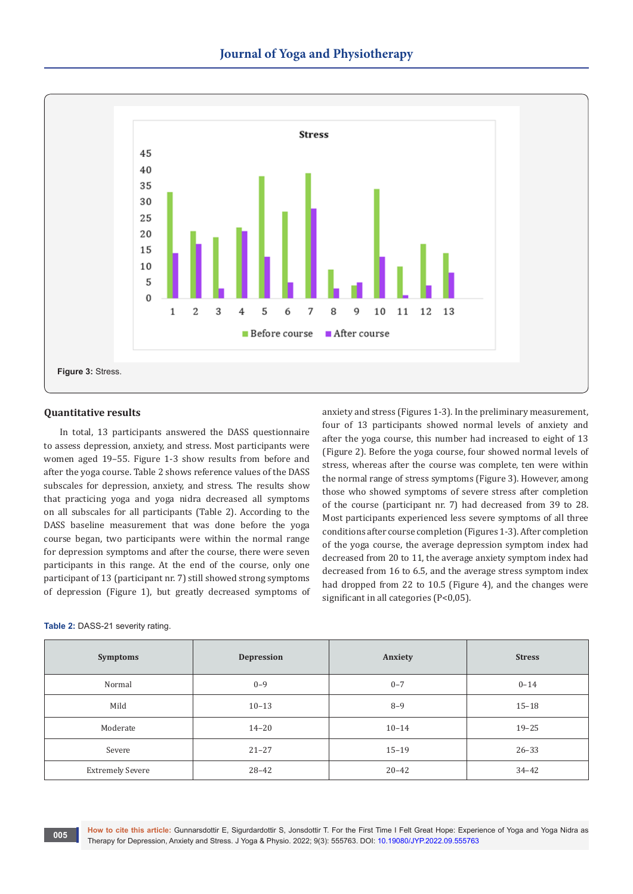

# **Quantitative results**

In total, 13 participants answered the DASS questionnaire to assess depression, anxiety, and stress. Most participants were women aged 19–55. Figure 1-3 show results from before and after the yoga course. Table 2 shows reference values of the DASS subscales for depression, anxiety, and stress. The results show that practicing yoga and yoga nidra decreased all symptoms on all subscales for all participants (Table 2). According to the DASS baseline measurement that was done before the yoga course began, two participants were within the normal range for depression symptoms and after the course, there were seven participants in this range. At the end of the course, only one participant of 13 (participant nr. 7) still showed strong symptoms of depression (Figure 1), but greatly decreased symptoms of

# four of 13 participants showed normal levels of anxiety and after the yoga course, this number had increased to eight of 13 (Figure 2). Before the yoga course, four showed normal levels of stress, whereas after the course was complete, ten were within the normal range of stress symptoms (Figure 3). However, among those who showed symptoms of severe stress after completion of the course (participant nr. 7) had decreased from 39 to 28. Most participants experienced less severe symptoms of all three conditions after course completion (Figures 1-3). After completion of the yoga course, the average depression symptom index had decreased from 20 to 11, the average anxiety symptom index had decreased from 16 to 6.5, and the average stress symptom index had dropped from 22 to 10.5 (Figure 4), and the changes were significant in all categories (P<0,05).

| Table 2: DASS-21 severity rating. |  |  |
|-----------------------------------|--|--|
|-----------------------------------|--|--|

| <b>Symptoms</b>         | <b>Depression</b> | Anxiety   | <b>Stress</b> |
|-------------------------|-------------------|-----------|---------------|
| Normal                  | $0 - 9$           | $0 - 7$   | $0 - 14$      |
| Mild                    | $10 - 13$         | $8 - 9$   | $15 - 18$     |
| Moderate                | $14 - 20$         | $10 - 14$ | $19 - 25$     |
| Severe                  | $21 - 27$         | $15 - 19$ | $26 - 33$     |
| <b>Extremely Severe</b> | $28 - 42$         | $20 - 42$ | $34 - 42$     |

**How to cite this article:** Gunnarsdottir E, Sigurdardottir S, Jonsdottir T. For the First Time I Felt Great Hope: Experience of Yoga and Yoga Nidra as Therapy for Depression, Anxiety and Stress. J Yoga & Physio. 2022; 9(3): 555763. DOI: [10.19080/JYP.2022.09.5557](http://dx.doi.org/10.19080/JYP.2022.09.555763)63 **DOI:** 10.19080/JYP.2022.09.555763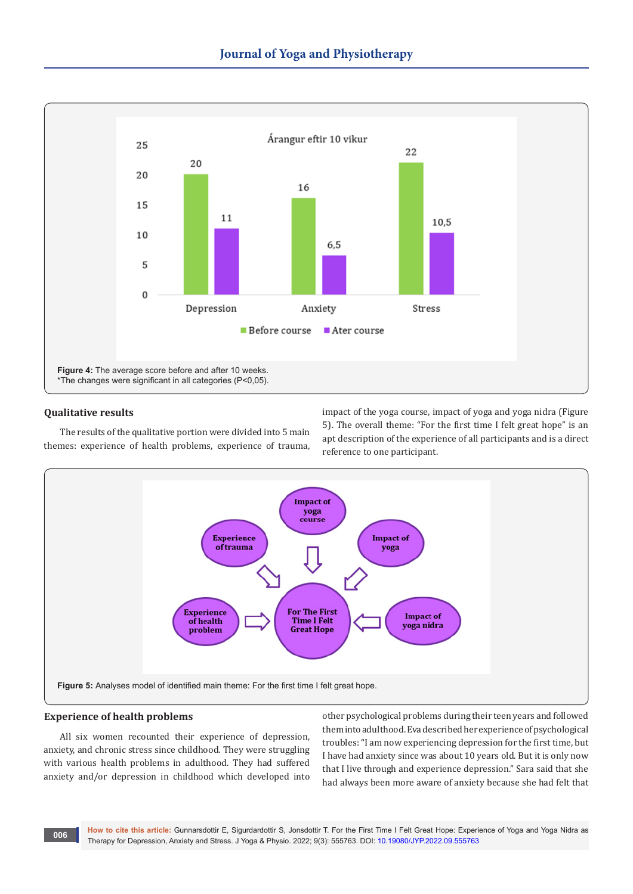

# **Qualitative results**

The results of the qualitative portion were divided into 5 main themes: experience of health problems, experience of trauma, impact of the yoga course, impact of yoga and yoga nidra (Figure 5). The overall theme: "For the first time I felt great hope" is an apt description of the experience of all participants and is a direct reference to one participant.



# **Experience of health problems**

All six women recounted their experience of depression, anxiety, and chronic stress since childhood. They were struggling with various health problems in adulthood. They had suffered anxiety and/or depression in childhood which developed into

other psychological problems during their teen years and followed them into adulthood. Eva described her experience of psychological troubles: "I am now experiencing depression for the first time, but I have had anxiety since was about 10 years old. But it is only now that I live through and experience depression." Sara said that she had always been more aware of anxiety because she had felt that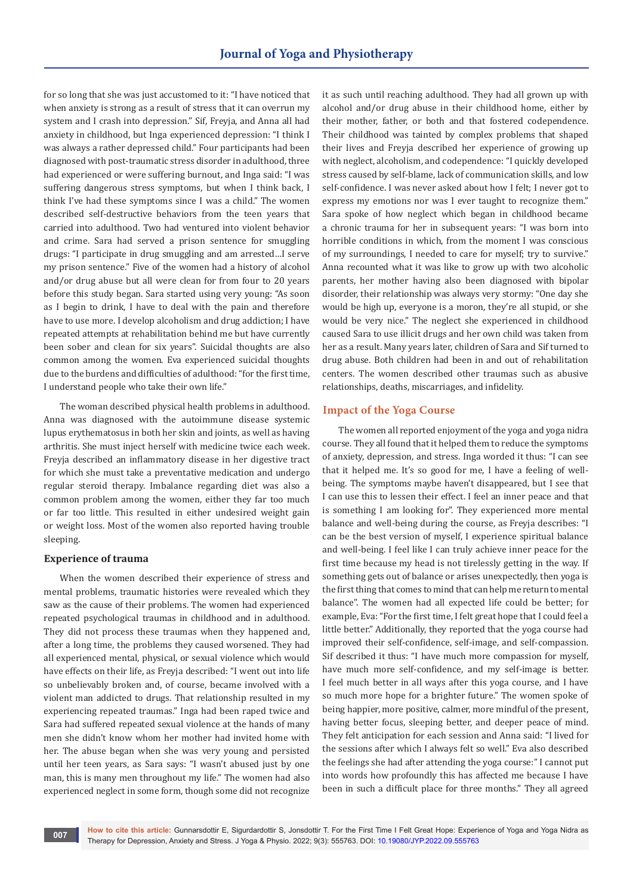for so long that she was just accustomed to it: "I have noticed that when anxiety is strong as a result of stress that it can overrun my system and I crash into depression." Sif, Freyja, and Anna all had anxiety in childhood, but Inga experienced depression: "I think I was always a rather depressed child." Four participants had been diagnosed with post-traumatic stress disorder in adulthood, three had experienced or were suffering burnout, and Inga said: "I was suffering dangerous stress symptoms, but when I think back, I think I've had these symptoms since I was a child." The women described self-destructive behaviors from the teen years that carried into adulthood. Two had ventured into violent behavior and crime. Sara had served a prison sentence for smuggling drugs: "I participate in drug smuggling and am arrested…I serve my prison sentence." Five of the women had a history of alcohol and/or drug abuse but all were clean for from four to 20 years before this study began. Sara started using very young: "As soon as I begin to drink, I have to deal with the pain and therefore have to use more. I develop alcoholism and drug addiction; I have repeated attempts at rehabilitation behind me but have currently been sober and clean for six years". Suicidal thoughts are also common among the women. Eva experienced suicidal thoughts due to the burdens and difficulties of adulthood: "for the first time, I understand people who take their own life."

The woman described physical health problems in adulthood. Anna was diagnosed with the autoimmune disease systemic lupus erythematosus in both her skin and joints, as well as having arthritis. She must inject herself with medicine twice each week. Freyja described an inflammatory disease in her digestive tract for which she must take a preventative medication and undergo regular steroid therapy. Imbalance regarding diet was also a common problem among the women, either they far too much or far too little. This resulted in either undesired weight gain or weight loss. Most of the women also reported having trouble sleeping.

# **Experience of trauma**

When the women described their experience of stress and mental problems, traumatic histories were revealed which they saw as the cause of their problems. The women had experienced repeated psychological traumas in childhood and in adulthood. They did not process these traumas when they happened and, after a long time, the problems they caused worsened. They had all experienced mental, physical, or sexual violence which would have effects on their life, as Freyja described: "I went out into life so unbelievably broken and, of course, became involved with a violent man addicted to drugs. That relationship resulted in my experiencing repeated traumas." Inga had been raped twice and Sara had suffered repeated sexual violence at the hands of many men she didn't know whom her mother had invited home with her. The abuse began when she was very young and persisted until her teen years, as Sara says: "I wasn't abused just by one man, this is many men throughout my life." The women had also experienced neglect in some form, though some did not recognize

it as such until reaching adulthood. They had all grown up with alcohol and/or drug abuse in their childhood home, either by their mother, father, or both and that fostered codependence. Their childhood was tainted by complex problems that shaped their lives and Freyja described her experience of growing up with neglect, alcoholism, and codependence: "I quickly developed stress caused by self-blame, lack of communication skills, and low self-confidence. I was never asked about how I felt; I never got to express my emotions nor was I ever taught to recognize them." Sara spoke of how neglect which began in childhood became a chronic trauma for her in subsequent years: "I was born into horrible conditions in which, from the moment I was conscious of my surroundings, I needed to care for myself; try to survive." Anna recounted what it was like to grow up with two alcoholic parents, her mother having also been diagnosed with bipolar disorder, their relationship was always very stormy: "One day she would be high up, everyone is a moron, they're all stupid, or she would be very nice." The neglect she experienced in childhood caused Sara to use illicit drugs and her own child was taken from her as a result. Many years later, children of Sara and Sif turned to drug abuse. Both children had been in and out of rehabilitation centers. The women described other traumas such as abusive relationships, deaths, miscarriages, and infidelity.

# **Impact of the Yoga Course**

The women all reported enjoyment of the yoga and yoga nidra course. They all found that it helped them to reduce the symptoms of anxiety, depression, and stress. Inga worded it thus: "I can see that it helped me. It's so good for me, I have a feeling of wellbeing. The symptoms maybe haven't disappeared, but I see that I can use this to lessen their effect. I feel an inner peace and that is something I am looking for". They experienced more mental balance and well-being during the course, as Freyja describes: "I can be the best version of myself, I experience spiritual balance and well-being. I feel like I can truly achieve inner peace for the first time because my head is not tirelessly getting in the way. If something gets out of balance or arises unexpectedly, then yoga is the first thing that comes to mind that can help me return to mental balance". The women had all expected life could be better; for example, Eva: "For the first time, I felt great hope that I could feel a little better." Additionally, they reported that the yoga course had improved their self-confidence, self-image, and self-compassion. Sif described it thus: "I have much more compassion for myself, have much more self-confidence, and my self-image is better. I feel much better in all ways after this yoga course, and I have so much more hope for a brighter future." The women spoke of being happier, more positive, calmer, more mindful of the present, having better focus, sleeping better, and deeper peace of mind. They felt anticipation for each session and Anna said: "I lived for the sessions after which I always felt so well." Eva also described the feelings she had after attending the yoga course:" I cannot put into words how profoundly this has affected me because I have been in such a difficult place for three months." They all agreed

**How to cite this article:** Gunnarsdottir E, Sigurdardottir S, Jonsdottir T. For the First Time I Felt Great Hope: Experience of Yoga and Yoga Nidra as Therapy for Depression, Anxiety and Stress. J Yoga & Physio. 2022; 9(3): 555763. DOI: 10.19080/JYP.2022.09.55763 **DOI:** 10.19080/JYP.2022.09.55763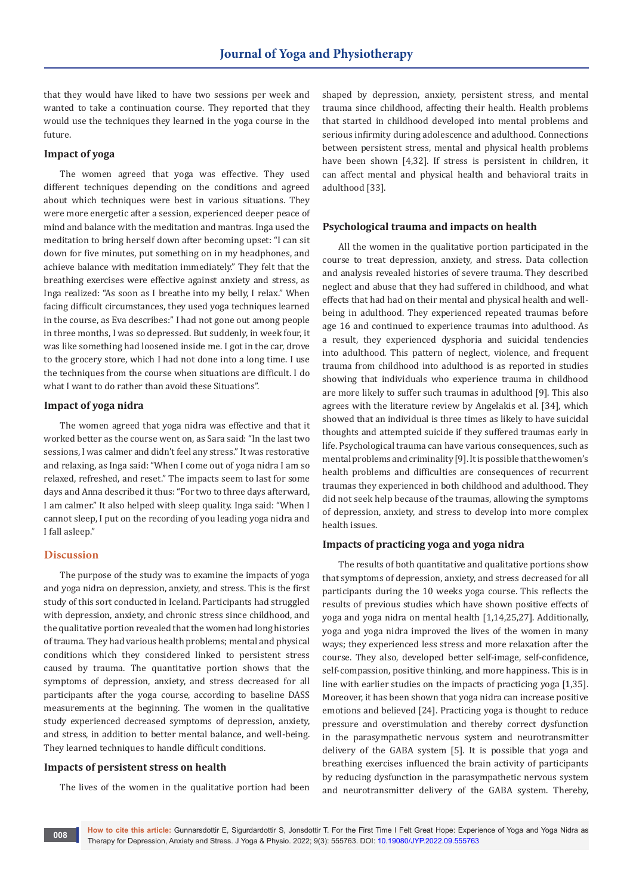that they would have liked to have two sessions per week and wanted to take a continuation course. They reported that they would use the techniques they learned in the yoga course in the future.

#### **Impact of yoga**

The women agreed that yoga was effective. They used different techniques depending on the conditions and agreed about which techniques were best in various situations. They were more energetic after a session, experienced deeper peace of mind and balance with the meditation and mantras. Inga used the meditation to bring herself down after becoming upset: "I can sit down for five minutes, put something on in my headphones, and achieve balance with meditation immediately." They felt that the breathing exercises were effective against anxiety and stress, as Inga realized: "As soon as I breathe into my belly, I relax." When facing difficult circumstances, they used yoga techniques learned in the course, as Eva describes:" I had not gone out among people in three months, I was so depressed. But suddenly, in week four, it was like something had loosened inside me. I got in the car, drove to the grocery store, which I had not done into a long time. I use the techniques from the course when situations are difficult. I do what I want to do rather than avoid these Situations".

# **Impact of yoga nidra**

The women agreed that yoga nidra was effective and that it worked better as the course went on, as Sara said: "In the last two sessions, I was calmer and didn't feel any stress." It was restorative and relaxing, as Inga said: "When I come out of yoga nidra I am so relaxed, refreshed, and reset." The impacts seem to last for some days and Anna described it thus: "For two to three days afterward, I am calmer." It also helped with sleep quality. Inga said: "When I cannot sleep, I put on the recording of you leading yoga nidra and I fall asleep."

## **Discussion**

The purpose of the study was to examine the impacts of yoga and yoga nidra on depression, anxiety, and stress. This is the first study of this sort conducted in Iceland. Participants had struggled with depression, anxiety, and chronic stress since childhood, and the qualitative portion revealed that the women had long histories of trauma. They had various health problems; mental and physical conditions which they considered linked to persistent stress caused by trauma. The quantitative portion shows that the symptoms of depression, anxiety, and stress decreased for all participants after the yoga course, according to baseline DASS measurements at the beginning. The women in the qualitative study experienced decreased symptoms of depression, anxiety, and stress, in addition to better mental balance, and well-being. They learned techniques to handle difficult conditions.

#### **Impacts of persistent stress on health**

The lives of the women in the qualitative portion had been

shaped by depression, anxiety, persistent stress, and mental trauma since childhood, affecting their health. Health problems that started in childhood developed into mental problems and serious infirmity during adolescence and adulthood. Connections between persistent stress, mental and physical health problems have been shown [4,32]. If stress is persistent in children, it can affect mental and physical health and behavioral traits in adulthood [33].

#### **Psychological trauma and impacts on health**

All the women in the qualitative portion participated in the course to treat depression, anxiety, and stress. Data collection and analysis revealed histories of severe trauma. They described neglect and abuse that they had suffered in childhood, and what effects that had had on their mental and physical health and wellbeing in adulthood. They experienced repeated traumas before age 16 and continued to experience traumas into adulthood. As a result, they experienced dysphoria and suicidal tendencies into adulthood. This pattern of neglect, violence, and frequent trauma from childhood into adulthood is as reported in studies showing that individuals who experience trauma in childhood are more likely to suffer such traumas in adulthood [9]. This also agrees with the literature review by Angelakis et al. [34], which showed that an individual is three times as likely to have suicidal thoughts and attempted suicide if they suffered traumas early in life. Psychological trauma can have various consequences, such as mental problems and criminality [9]. It is possible that the women's health problems and difficulties are consequences of recurrent traumas they experienced in both childhood and adulthood. They did not seek help because of the traumas, allowing the symptoms of depression, anxiety, and stress to develop into more complex health issues.

## **Impacts of practicing yoga and yoga nidra**

The results of both quantitative and qualitative portions show that symptoms of depression, anxiety, and stress decreased for all participants during the 10 weeks yoga course. This reflects the results of previous studies which have shown positive effects of yoga and yoga nidra on mental health [1,14,25,27]. Additionally, yoga and yoga nidra improved the lives of the women in many ways; they experienced less stress and more relaxation after the course. They also, developed better self-image, self-confidence, self-compassion, positive thinking, and more happiness. This is in line with earlier studies on the impacts of practicing yoga [1,35]. Moreover, it has been shown that yoga nidra can increase positive emotions and believed [24]. Practicing yoga is thought to reduce pressure and overstimulation and thereby correct dysfunction in the parasympathetic nervous system and neurotransmitter delivery of the GABA system [5]. It is possible that yoga and breathing exercises influenced the brain activity of participants by reducing dysfunction in the parasympathetic nervous system and neurotransmitter delivery of the GABA system. Thereby,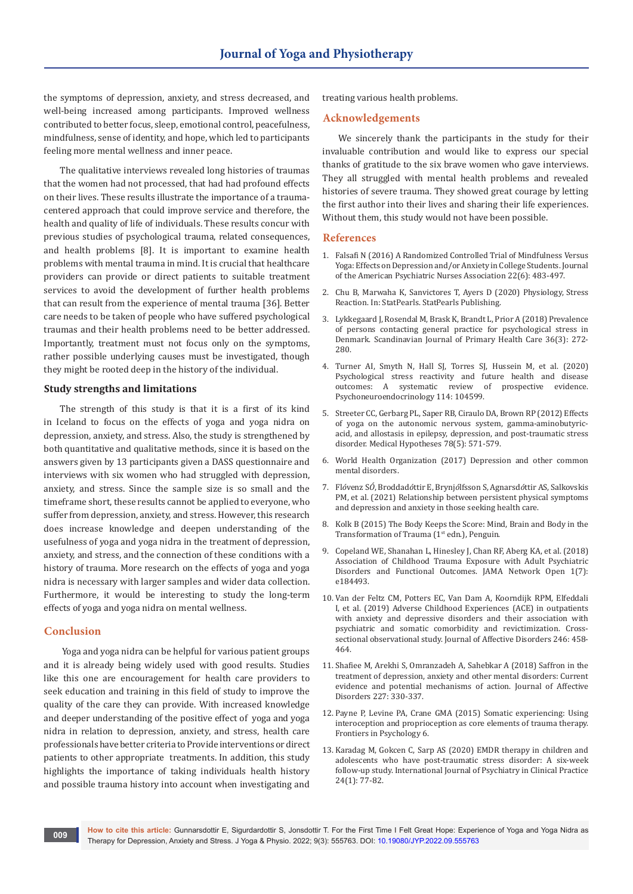the symptoms of depression, anxiety, and stress decreased, and well-being increased among participants. Improved wellness contributed to better focus, sleep, emotional control, peacefulness, mindfulness, sense of identity, and hope, which led to participants feeling more mental wellness and inner peace.

The qualitative interviews revealed long histories of traumas that the women had not processed, that had had profound effects on their lives. These results illustrate the importance of a traumacentered approach that could improve service and therefore, the health and quality of life of individuals. These results concur with previous studies of psychological trauma, related consequences, and health problems [8]. It is important to examine health problems with mental trauma in mind. It is crucial that healthcare providers can provide or direct patients to suitable treatment services to avoid the development of further health problems that can result from the experience of mental trauma [36]. Better care needs to be taken of people who have suffered psychological traumas and their health problems need to be better addressed. Importantly, treatment must not focus only on the symptoms, rather possible underlying causes must be investigated, though they might be rooted deep in the history of the individual.

#### **Study strengths and limitations**

The strength of this study is that it is a first of its kind in Iceland to focus on the effects of yoga and yoga nidra on depression, anxiety, and stress. Also, the study is strengthened by both quantitative and qualitative methods, since it is based on the answers given by 13 participants given a DASS questionnaire and interviews with six women who had struggled with depression, anxiety, and stress. Since the sample size is so small and the timeframe short, these results cannot be applied to everyone, who suffer from depression, anxiety, and stress. However, this research does increase knowledge and deepen understanding of the usefulness of yoga and yoga nidra in the treatment of depression, anxiety, and stress, and the connection of these conditions with a history of trauma. More research on the effects of yoga and yoga nidra is necessary with larger samples and wider data collection. Furthermore, it would be interesting to study the long-term effects of yoga and yoga nidra on mental wellness.

# **Conclusion**

 Yoga and yoga nidra can be helpful for various patient groups and it is already being widely used with good results. Studies like this one are encouragement for health care providers to seek education and training in this field of study to improve the quality of the care they can provide. With increased knowledge and deeper understanding of the positive effect of yoga and yoga nidra in relation to depression, anxiety, and stress, health care professionals have better criteria to Provide interventions or direct patients to other appropriate treatments. In addition, this study highlights the importance of taking individuals health history and possible trauma history into account when investigating and treating various health problems.

#### **Acknowledgements**

We sincerely thank the participants in the study for their invaluable contribution and would like to express our special thanks of gratitude to the six brave women who gave interviews. They all struggled with mental health problems and revealed histories of severe trauma. They showed great courage by letting the first author into their lives and sharing their life experiences. Without them, this study would not have been possible.

## **References**

- 1. [Falsafi N \(2016\) A Randomized Controlled Trial of Mindfulness Versus](https://journals.sagepub.com/doi/full/10.1177/1078390316663307)  [Yoga: Effects on Depression and/or Anxiety in College Students. Journal](https://journals.sagepub.com/doi/full/10.1177/1078390316663307)  [of the American Psychiatric Nurses Association 22\(6\): 483-497.](https://journals.sagepub.com/doi/full/10.1177/1078390316663307)
- 2. Chu B, Marwaha K, Sanvictores T, Ayers D (2020) Physiology, Stress Reaction. In: StatPearls. StatPearls Publishing.
- 3. [Lykkegaard J, Rosendal M, Brask K, Brandt L, Prior A \(2018\) Prevalence](https://pubmed.ncbi.nlm.nih.gov/30175651/)  [of persons contacting general practice for psychological stress in](https://pubmed.ncbi.nlm.nih.gov/30175651/)  [Denmark. Scandinavian Journal of Primary Health Care 36\(3\): 272-](https://pubmed.ncbi.nlm.nih.gov/30175651/) [280.](https://pubmed.ncbi.nlm.nih.gov/30175651/)
- 4. [Turner AI, Smyth N, Hall SJ, Torres SJ, Hussein M, et al. \(2020\)](https://pubmed.ncbi.nlm.nih.gov/32045797/)  Psychological stress reactivity and future health and disease<br>outcomes: A systematic review of prospective evidence. outcomes: A systematic review [Psychoneuroendocrinology 114: 104599.](https://pubmed.ncbi.nlm.nih.gov/32045797/)
- 5. [Streeter CC, Gerbarg PL, Saper RB, Ciraulo DA, Brown RP \(2012\) Effects](https://pubmed.ncbi.nlm.nih.gov/22365651/)  [of yoga on the autonomic nervous system, gamma-aminobutyric](https://pubmed.ncbi.nlm.nih.gov/22365651/)[acid, and allostasis in epilepsy, depression, and post-traumatic stress](https://pubmed.ncbi.nlm.nih.gov/22365651/)  [disorder. Medical Hypotheses 78\(5\): 571-579.](https://pubmed.ncbi.nlm.nih.gov/22365651/)
- 6. World Health Organization (2017) Depression and other common mental disorders.
- 7. Fl*ó*venz S*Ó*, Broddad*ó*ttir E, Brynj*ó*lfsson S, Agnarsd*ó*ttir AS, Salkovskis PM, et al. (2021) Relationship between persistent physical symptoms and depression and anxiety in those seeking health care.
- 8. Kolk B (2015) The Body Keeps the Score: Mind, Brain and Body in the Transformation of Trauma (1<sup>st</sup> edn.), Penguin.
- 9. [Copeland WE, Shanahan L, Hinesley J, Chan RF, Aberg KA, et al. \(2018\)](https://pubmed.ncbi.nlm.nih.gov/30646356/)  [Association of Childhood Trauma Exposure with Adult Psychiatric](https://pubmed.ncbi.nlm.nih.gov/30646356/)  [Disorders and Functional Outcomes. JAMA Network Open 1\(7\):](https://pubmed.ncbi.nlm.nih.gov/30646356/)  [e184493.](https://pubmed.ncbi.nlm.nih.gov/30646356/)
- 10. [Van der Feltz CM, Potters EC, Van Dam A, Koorndijk RPM, Elfeddali](https://pubmed.ncbi.nlm.nih.gov/30599369/)  [I, et al. \(2019\) Adverse Childhood Experiences \(ACE\) in outpatients](https://pubmed.ncbi.nlm.nih.gov/30599369/)  [with anxiety and depressive disorders and their association with](https://pubmed.ncbi.nlm.nih.gov/30599369/)  [psychiatric and somatic comorbidity and revictimization. Cross](https://pubmed.ncbi.nlm.nih.gov/30599369/)[sectional observational study. Journal of Affective Disorders 246: 458-](https://pubmed.ncbi.nlm.nih.gov/30599369/) [464.](https://pubmed.ncbi.nlm.nih.gov/30599369/)
- 11. [Shafiee M, Arekhi S, Omranzadeh A, Sahebkar A \(2018\) Saffron in the](https://pubmed.ncbi.nlm.nih.gov/29136602/)  [treatment of depression, anxiety and other mental disorders: Current](https://pubmed.ncbi.nlm.nih.gov/29136602/)  [evidence and potential mechanisms of action. Journal of Affective](https://pubmed.ncbi.nlm.nih.gov/29136602/)  [Disorders 227: 330-337.](https://pubmed.ncbi.nlm.nih.gov/29136602/)
- 12. [Payne P, Levine PA, Crane GMA \(2015\) Somatic experiencing: Using](https://pubmed.ncbi.nlm.nih.gov/25699005/)  [interoception and proprioception as core elements of trauma therapy.](https://pubmed.ncbi.nlm.nih.gov/25699005/)  [Frontiers in Psychology 6.](https://pubmed.ncbi.nlm.nih.gov/25699005/)
- 13. [Karadag M, Gokcen C, Sarp AS \(2020\) EMDR therapy in children and](https://pubmed.ncbi.nlm.nih.gov/31663396/)  [adolescents who have post-traumatic stress disorder: A six-week](https://pubmed.ncbi.nlm.nih.gov/31663396/)  [follow-up study. International Journal of Psychiatry in Clinical Practice](https://pubmed.ncbi.nlm.nih.gov/31663396/)  [24\(1\): 77-82.](https://pubmed.ncbi.nlm.nih.gov/31663396/)

**How to cite this article:** Gunnarsdottir E, Sigurdardottir S, Jonsdottir T. For the First Time I Felt Great Hope: Experience of Yoga and Yoga Nidra as Therapy for Depression, Anxiety and Stress. J Yoga & Physio. 2022; 9(3): 555763. DOI: [10.19080/JYP.2022.09.5557](http://dx.doi.org/10.19080/JYP.2022.09.555763)63 **<sup>009</sup>**